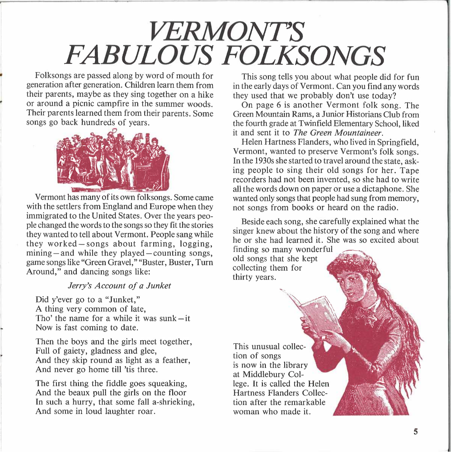## *VERMONT'S FABULOUS FOLKSONGS*

Folksongs are passed along by word of mouth for generation after generation. Children learn them from their parents, maybe as they sing together on a hike or around a picnic campfire in the summer woods. Their parents learned them from their parents. Some songs go back hundreds of years.



Vermont has many of its own folksongs. Some came with the settlers from England and Europe when they immigrated to the United States. Over the years people changed the words to the songs so they fit the stories they wanted to tell about Vermont. People sang while they wanted to tell about Vermont. People sang while<br>they worked — songs about farming, logging, they worked-songs about farming, logging,<br>mining-and while they played-counting songs, game songs like "Green Gravel," "Buster, Buster, Tum Around," and dancing songs like:

## *Jerry's Account of a Junket*

Did y'ever go to a "Junket," A thing very common of late, Tho' the name for a while it was sunk $-it$ Now is fast coming to date.

Then the boys and the girls meet together, Full of gaiety, gladness and glee, And they skip round as light as a feather, And never go home till 'tis three.

The first thing the fiddle goes squeaking, And the beaux pull the girls on the floor In such a hurry, that some fall a-shrieking, And some in loud laughter roar.

This song tells you about what people did for fun in the early days of Vermont. Can you find any words they used that we probably don't use today?

On page 6 is another Vermont folk song. The Green Mountain Rams, a Junior Historians Club from the fourth grade at Twinfield Elementary School, liked it and sent it to *The Green Mountaineer.* 

Helen Hartness Flanders, who lived in Springfield. Vermont, wanted to preserve Vermont's folk songs. In the 1930s she started to travel around the state, asking people to sing their old songs for her. Tape recorders had not been invented, so she had to write all the words down on paper or use a dictaphone. She wanted only songs that people had sung from memory, not songs from books or heard on the radio.

Beside each song, she carefully explained what the singer knew about the history of the song and where he or she had learned it. She was so excited about

finding so many wonderful old songs that she kept collecting them for thirty years.

This unusual collection of songs is now in the library at Middlebury College. It is called the Helen Hartness Flanders Collection after the remarkable woman who made it.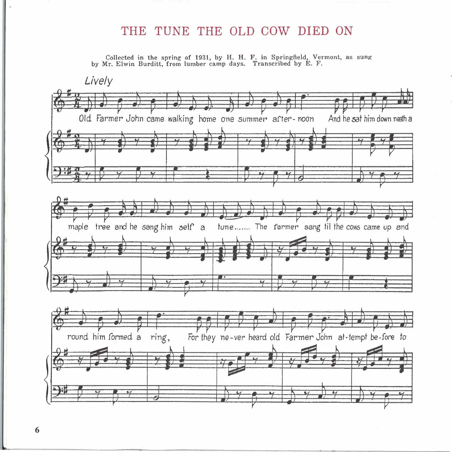## THE TUNE THE OLD COW DIED ON

Collected in the spring of 1931, by H. H. F. in Springfield, Vermont, as sung by Mr. Elwin Burditt, from lumber camp days. Transcribed by E. F.